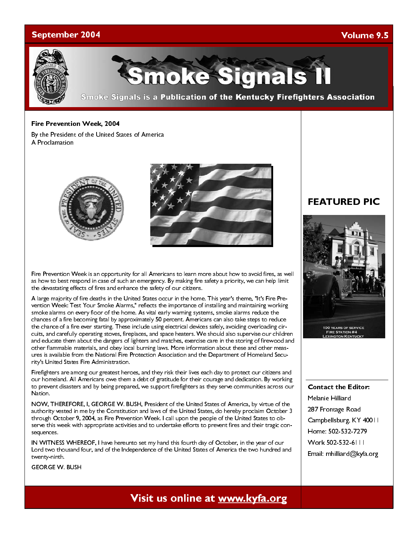### September 2004

### Volume 9.5



moke Signals

**Smoke Signals is a Publication of the Kentucky Firefighters Association** 

### Fire Prevention Week, 2004

By the President of the United States of America A Proclamation





Fire Prevention Week is an opportunity for all Americans to learn more about how to avoid fires, as well as how to best respond in case of such an emergency. By making fire safety a priority, we can help limit the devastating effects of fires and enhance the safety of our citizens.

A large majority of fire deaths in the United States occur in the home. This year's theme, "It's Fire Prevention Week: Test Your Smoke Alarms," reflects the importance of installing and maintaining working smoke alarms on every floor of the home. As vital early warning systems, smoke alarms reduce the chances of a fire becoming fatal by approximately 50 percent. Americans can also take steps to reduce the chance of a fire ever starting. These include using electrical devices safely, avoiding overloading circuits, and carefully operating stoves, fireplaces, and space heaters. We should also supervise our children and educate them about the dangers of lighters and matches, exercise care in the storing of firewood and other flammable materials, and obey local burning laws. More information about these and other measures is available from the National Fire Protection Association and the Department of Homeland Security's United States Fire Administration.

Firefighters are among our greatest heroes, and they risk their lives each day to protect our citizens and our homeland. All Americans owe them a debt of gratitude for their courage and dedication. By working to prevent disasters and by being prepared, we support firefighters as they serve communities across our Nation.

NOW, THEREFORE, I, GEORGE W. BUSH, President of the United States of America, by virtue of the authority vested in me by the Constitution and laws of the United States, do hereby proclaim October 3 through October 9, 2004, as Fire Prevention Week. I call upon the people of the United States to observe this week with appropriate activities and to undertake efforts to prevent fires and their tragic consequences.

IN WITNESS WHEREOF, I have hereunto set my hand this fourth day of October, in the year of our Lord two thousand four, and of the Independence of the United States of America the two hundred and twenty-ninth.

GEORGE W. BUSH

### **FEATURED PIC**



Contact the Editor: Melanie Hilliard 287 Frontage Road Campbellsburg, KY 40011 Home: 502-532-7279 Work 502-532-6111 Email: mhilliard@kyfa.org

# Visit us online at www.kyfa.org visit us online at www.kyfa.org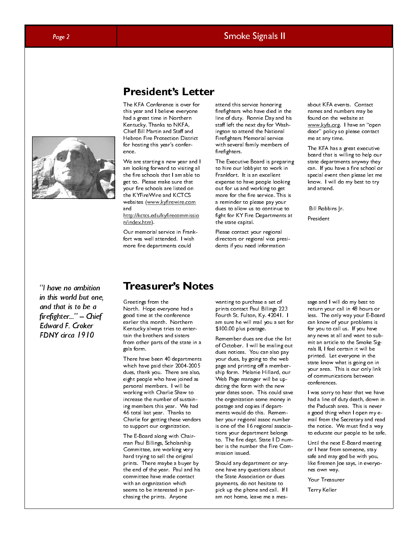### Page 2 Smoke Signals II and the Smoke Signals II

## **President's Letter**

President of the Constant of the KFA Conference is over for the analysis of the  $\sim$ this year and I believe everyone had a great time in Northern Kentucky. Thanks to NKFA, Chief Bill Martin and Staff and Hebron Fire Protection District for hosting this year's conference.

We are starting a new year and I am looking forward to visiting all the fire schools that I am able to get to. Please make sure that your fire schools are listed on the KYFireWire and KCTCS websites (www.kyfirewire.com and http://kctcs.edu/kyfirecommissio

n/index.htm).

Our memorial service in Frankfort was well attended. I wish more fire departments could

attend this service honoring firefighters who have died in the line of duty. Ronnie Day and his staff left the next day for Washington to attend the National Firefighters Memorial service with several family members of firefighters.

The Executive Board is preparing to hire our lobbyist to work in Frankfort. It is an excellent expense to have people looking out for us and working to get more for the fire service. This is a reminder to please pay your dues to allow us to continue to fight for KY Fire Departments at the state capital.

Please contact your regional directors or regional vice presidents if you need information

about KFA events. Contact names and numbers may be found on the website at www.kyfa.org. I have an "open door" policy so please contact me at any time.

The KFA has a great executive board that is willing to help our state departments anyway they can. If you have a fire school or special event then please let me know. I will do my best to try and attend.

Bill Robbins Jr.

President

"I have no ambition in this world but one, and that is to be a firefighter..." - Chief Edward F. Croker FDNY circa 1910

### Treasurer's Notes

Greetings from the North. Hope everyone had a good time at the conference earlier this month. Northern Kentucky always tries to entertain the brothers and sisters from other parts of the state in a gala form.

There have been 40 departments which have paid their 2004-2005 dues, thank you. There are also, eight people who have joined as personal members. I will be working with Charlie Shaw to increase the number of sustaining members this year. We had 46 total last year. Thanks to Charlie for getting these vendors to support our organization.

The E-Board along with Chairman Paul Billings, Scholarship Committee, are working very hard trying to sell the original prints. There maybe a buyer by the end of the year. Paul and his committee have made contact with an organization which seems to be interested in purchasing the prints. Anyone

wanting to purchase a set of prints contact Paul Billings 223 Fourth St. Fulton, Ky. 42041. I am sure he will mail you a set for \$100.00 plus postage.

Remember dues are due the 1st of October. I will be mailing out dues notices. You can also pay your dues, by going to the web page and printing off a membership form. Melanie Hilliard, our Web Page manager will be updating the form with the new year dates soon. This could save the organization some money in postage and copies if departments would do this. Remember your regional assoc number is one of the 16 regional associations your department belongs to. The fire dept. State I D number is the number the Fire Commission issued.

Should any department or anyone have any questions about the State Association or dues payments, do not hesitate to pick up the phone and call. If I am not home, leave me a message and I will do my best to return your call in 48 hours or less. The only way your E-Board can know of your problems is for you to call us. If you have any news at all and want to submit an article to the Smoke Signals II, I feel certain it will be printed. Let everyone in the state know what is going on in your area. This is our only link of communications between conferences.

I was sorry to hear that we have had a line of duty death, down in the Paducah area. This is never a good thing when I open my email from the Secretary and read the notice. We must find a way to educate our people to be safe.

Until the next E-Board meeting or I hear from someone, stay safe and may god be with you, like firemen Joe says, in everyones own way.

Your Treasurer

Terry Keller

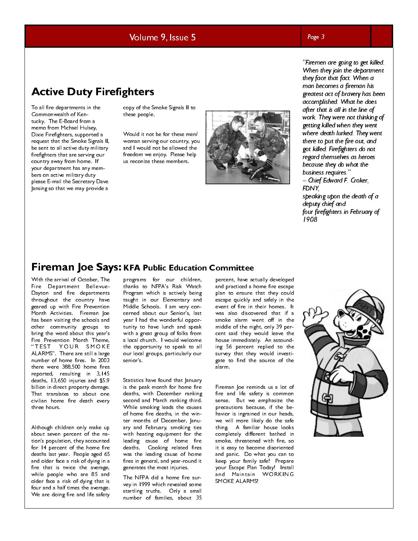### Volume 9, Issue 5

### Page 3

# Active Duty Firefighters

To all fire departments in the Commonwealth of Kentucky. The E-Board from a memo from Michael Hulsey, Dixie Firefighters, supported a request that the Smoke Signals II, be sent to all active duty military firefighters that are serving our country away from home. If your department has any members on active military duty please E-mail the Secretary Dave Jansing so that we may provide a

copy of the Smoke Signals II to these people.

Would it not be for these men/ woman serving our country, you and I would not be allowed the freedom we enjoy. Please help us reconize these members.



"Firemen are going to get killed. When they join the department they face that fact. When a man becomes a fireman his greatest act of bravery has been accomplished. What he does after that is all in the line of work. They were not thinking of getting killed when they went where death lurked. They went there to put the fire out, and got killed. Firefighters do not regard themselves as heroes because they do what the business requires."

- Chief Edward F. Croker, FDNY, speaking upon the death of a deputy chief and

four firefighters in February of 1908

**Firemann Joe Says: KFA Public Education Committee**<br>With the ariva of October. The programs for our children, percent have the stress of the stress of the stress of the department and the department and produced a have the With the arrival of October, The Fire Department Bellevue-Dayton and fire departments throughout the country have geared up with Fire Prevention Month Activities. Fireman Joe has been visiting the schools and other community groups to bring the word about this year's Fire Prevention Month Theme, " TEST YOUR SMOKE ALARMS". There are still a large number of home fires. In 2003 there were 388,500 home fires reported, resulting in 3,145 deaths, 13,650 injuries and \$5.9 billion in direct property damage. That translates to about one civilian home fire death every three hours.

Although children only make up about seven percent of the nation's population, they accounted for 14 percent of the home fire deaths last year. People aged 65 and older face a risk of dying in a fire that is twice the average, while people who are 85 and older face a risk of dying that is four and a half times the average. We are doing fire and life safety

programs for our children, thanks to NFPA's Risk Watch Program which is actively being taught in our Elementary and Middle Schools. I am very concerned about our Senior's, last year I had the wonderful opportunity to have lunch and speak with a great group of folks from a local church. I would welcome the opportunity to speak to all our local groups, particularly our senior's.

Statistics have found that January is the peak month for home fire deaths, with December ranking second and March ranking third. While smoking leads the causes of home fire deaths, in the winter months of December, January and February, smoking ties with heating equipment for the leading cause of home fire deaths. Cooking related fires was the leading cause of home fires in general, and year-round it generates the most injuries.

The NFPA did a home fire survey in 1999 which revealed some startling truths. Only a small number of families, about 35

percent, have actually developed and practiced a home fire escape plan to ensure that they could escape quickly and safely in the event of fire in their homes. It was also discovered that if a smoke alarm went off in the middle of the night, only 39 percent said they would leave the house immediately. An astounding 56 percent replied to the survey that they would investigate to find the source of the alarm.

Fireman Joe reminds us a lot of fire and life safety is common sense. But we emphasize the precautions because, if the behavior is ingrained in our heads, we will more likely do the safe thing. A familiar house looks completely different bathed in smoke, threatened with fire, so it is easy to become disoriented and panic. Do what you can to keep your family safe! Prepare your Escape Plan Today! Install and Maintain WORKING SMOKE ALARMS!

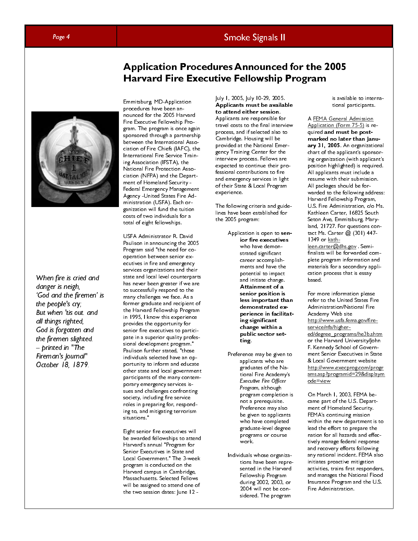### Page 4 Smoke Signals II

# Application Procedures Announced for the 2005 Harvard Fire Executive Fellowship Program



When fire is cried and danger is neigh, 'God and the firemen' is the people's cry; But when 'tis out. and all things righted, God is forgotten and the firemen slighted. -- printed in "The Fireman's Journal" October 18, 1879.

Emmitsburg, MD-Application procedures have been announced for the 2005 Harvard Fire Executive Fellowship Program. The program is once again sponsored through a partnership between the International Association of Fire Chiefs (IAFC), the International Fire Service Training Association (IFSTA), the National Fire Protection Association (NFPA) and the Department of Homeland Security - Federal Emergency Management Agency -United States Fire Administration (USFA). Each organization will fund the tuition costs of two individuals for a total of eight fellowships.

USFA Administrator R. David Paulison in announcing the 2005 Program said "the need for cooperation between senior executives in fire and emergency services organizations and their state and local level counterparts has never been greater if we are to successfully respond to the many challenges we face. As a former graduate and recipient of the Harvard Fellowship Program in 1995, I know this experience provides the opportunity for senior fire executives to participate in a superior quality professional development program." Paulison further stated, "those individuals selected have an opportunity to inform and educate other state and local government participants of the many contemporary emergency services issues and challenges confronting society, including fire service roles in preparing for, responding to, and mitigating terrorism situations."

Eight senior fire executives will be awarded fellowships to attend Harvard's annual "Program for Senior Executives in State and Local Government." The 3-week program is conducted on the Harvard campus in Cambridge, Massachusetts. Selected Fellows will be assigned to attend one of the two session dates: June 12 -

July 1, 2005, July 10-29, 2005. Applicants must be available to attend either session. Applicants are responsible for travel costs to the final interview process, and if selected also to Cambridge. Housing will be provided at the National Emergency Training Center for the interview process. Fellows are expected to continue their professional contributions to fire and emergency services in light of their State & Local Program experience.

The following criteria and guidelines have been established for the 2005 program:

- Application is open to senior fire executives who have demonstrated significant career accomplishments and have the potential to impact and initiate change. Attainment of a senior position is less important than demonstrated experience in facilitating significant change within a public sector setting.
- Preference may be given to applicants who are graduates of the National Fire Academy's Executive Fire Officer Program, although<br>program completion<br>not a prerequisite.<br>Preference may also<br>be given to applicant<br>who have complete<br>graduate-level degre<br>programs or course<br>work.<br>duals whose organiz<br>tions have been repr<br>sented in the Harv Program, although Program, although<br>program completi<br>not a prerequisite.<br>Preference may als<br>be given to applica<br>who have complet<br>graduate-level deg<br>programs or cours<br>work.<br>duals whose organ<br>tions have been re<br>sented in the Harv<br>Fellowship P program completion is not a prerequisite. Preference may also be given to applicants who have completed graduate-level degree programs or course work.
- Individuals whose organizations have been represented in the Harvard Fellowship Program during 2002, 2003, or 2004 will not be considered. The program

is available to international participants.

A FEMA General Admission Application (Form 75-5) is required and must be postmarked no later than January 31, 2005. An organizational chart of the applicant's sponsoring organization (with applicant's position highlighted) is required. All applicants must include a resume with their submission. All packages should be forwarded to the following address: Harvard Fellowship Program, U.S. Fire Administration, c/o Ms. Kathleen Carter, 16825 South Seton Ave, Emmitsburg, Maryland, 21727. For questions contact Ms. Carter @ (301) 447- 1349 or kathleen.carter@dhs.gov . Semifinalists will be forwarded complete program information and materials for a secondary application process that is essay based.

For more information please refer to the United States Fire Administration/National Fire Academy Web site http://www.usfa.fema.gov/fireservice/nfa/highered/degree\_programs/he3b.shtm or the Harvard University/John F. Kennedy School of Government Senior Executives in State & Local Government website http://www.execprog.com/progr ams.asp?programid=29&displaym ode=view

On March 1, 2003, FEMA became part of the U.S. Department of Homeland Security. FEMA's continuing mission within the new department is to lead the effort to prepare the nation for all hazards and effectively manage federal response and recovery efforts following any national incident. FEMA also initiates proactive mitigation activities, trains first responders, and manages the National Flood Insurance Program and the U.S. Fire Administration.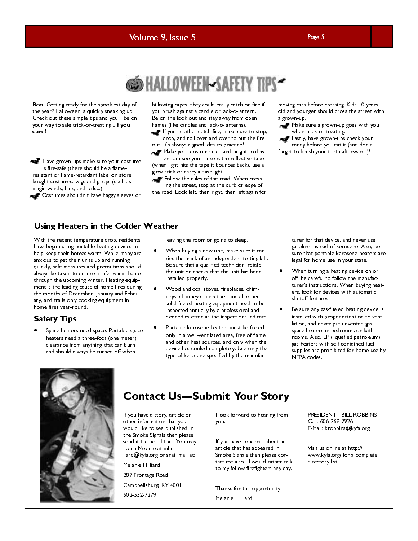### Volume 9, Issue 5 Page 5 Page 5



Boo! Getting ready for the spookiest day of the year? Halloween is quickly sneaking up. Check out these simple tips and you'll be on your way to safe trick-or-treating...if you dare!

Have grown-ups make sure your costume is fire-safe (there should be a flameresistant or flame-retardant label on store bought costumes, wigs and props (such as magic wands, hats, and tails...).

Costumes shouldn't have baggy sleeves or

billowing capes, they could easily catch on fire if you brush against a candle or jack-o-lantern. Be on the look out and stay away from open flames (like candles and jack-o-lanterns).

If your clothes catch fire, make sure to stop, drop, and roll over and over to put the fire out. It's always a good idea to practice!

Make your costume nice and bright so drivers can see you -- use retro reflective tape

(when light hits the tape it bounces back), use a glow stick or carry a flashlight.

Follow the rules of the road. When crossing the street, stop at the curb or edge of

the road. Look left, then right, then left again for

moving cars before crossing. Kids 10 years old and younger should cross the street with a grown-up.

Make sure a grown-up goes with you when trick-or-treating.

**Lastly, have grown-ups check your** candy before you eat it (and don't forget to brush your teeth afterwards)!

### Using Heaters in the Colder Weather

With the recent temperature drop, residents have begun using portable heating devices to help keep their homes warm. While many are anxious to get their units up and running quickly, safe measures and precautions should always be taken to ensure a safe, warm home through the upcoming winter. Heating equipment is the leading cause of home fires during the months of December, January and February, and trails only cooking equipment in home fires year-round.

### Safety Tips

• Space heaters need space. Portable space heaters need a three-foot (one meter) clearance from anything that can burn and should always be turned off when

leaving the room or going to sleep.

- When buying a new unit, make sure it carries the mark of an independent testing lab. Be sure that a qualified technician installs the unit or checks that the unit has been installed properly.
- Wood and coal stoves, fireplaces, chimneys, chimney connectors, and all other solid-fueled heating equipment need to be inspected annually by a professional and cleaned as often as the inspections indicate.
- Portable kerosene heaters must be fueled only in a well-ventilated area, free of flame and other heat sources, and only when the device has cooled completely. Use only the type of kerosene specified by the manufac-

turer for that device, and never use gasoline instead of kerosene. Also, be sure that portable kerosene heaters are legal for home use in your state.

- When turning a heating device on or off, be careful to follow the manufacturer's instructions. When buying heaters, look for devices with automatic shutoff features.
- Be sure any gas-fueled heating device is installed with proper attention to ventilation, and never put unvented gas space heaters in bedrooms or bathrooms. Also, LP (liquefied petroleum) gas heaters with self-contained fuel supplies are prohibited for home use by NFPA codes.



Example a story, article or<br>
Strong the story, article or<br>
would like to see published in<br>
the Smoke Signals then please<br>
send it to the editor. You may<br>
lif you have concerns about an<br>
recal Melanie at mhil-<br>
liard@kyfa.o If you have a story, article or other information that you would like to see published in the Smoke Signals then please send it to the editor. You may reach Melanie at mhilliard@kyfa.org or snail mail at: Melanie Hilliard 287 Frontage Road Campbellsburg, KY 40011 502-532-7279

I look forward to hearing from you.

If you have concerns about an article that has appeared in Smoke Signals then please contact me also. I would rather talk to my fellow firefighters any day.

Thanks for this opportunity.

Melanie Hilliard

PRESIDENT - BILL ROBBINS Cell: 606-269-2926 E-Mail: brobbins@kyfa.org

Visit us online at http:// www.kyfa.org/ for a complete directory list.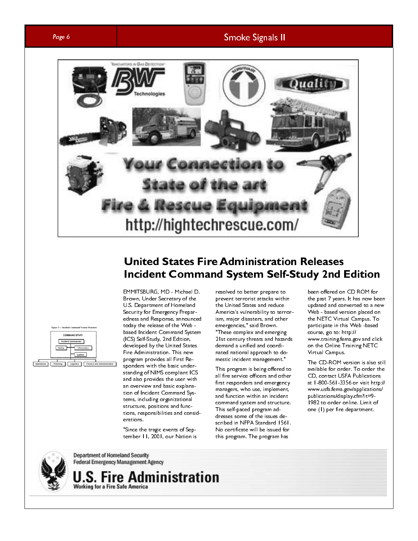### Page 6 Smoke Signals II



# **United States Fire Administration Releases**



Incident Command System Self-Study 2nd F<br>
EMMITSBURG, MD - Mahal D. resolved to better prepare to been offered on<br>
Brown, Under Secretizy of the present terrorist attacks within<br>
U.S. Department of Momentia a the bureal St EMMITSBURG, MD. Mchael D. resolved to better prepare to been offered on CDROM for<br>Brown, Under Secretary of the the united states with the past 7 years. It has now been<br>Security for Emergency Preparation Here in a state an EMMITSBURG, MD - Michael D. Brown, Under Secretary of the U.S. Department of Homeland Security for Emergency Preparedness and Response, announced today the release of the Web based Incident Command System (ICS) Self-Study, 2nd Edition, developed by the United States Fire Administration. This new program provides all First Responders with the basic understanding of NIMS compliant ICS and also provides the user with an overview and basic explanation of Incident Command Systems, including organizational structure, positions and functions, responsibilities and considerations.

"Since the tragic events of September 11, 2001, our Nation is

resolved to better prepare to prevent terrorist attacks within the United States and reduce America's vulnerability to terrorism, major disasters, and other emergencies," said Brown. "These complex and emerging 21st century threats and hazards demand a unified and coordinated national approach to domestic incident management."

This program is being offered to all fire service officers and other first responders and emergency managers, who use, implement, and function within an incident command system and structure. This self-paced program addresses some of the issues described in NFPA Standard 1561. No certificate will be issued for this program. The program has

been offered on CD ROM for the past 7 years. It has now been updated and converted to a new Web - based version placed on the NETC Virtual Campus. To participate in this Web -based course, go to: http:// www.training.fema.gov and click on the Online Training NETC Virtual Campus.

The CD-ROM version is also still available for order. To order the CD, contact USFA Publications at 1-800-561-3356 or visit http:// www.usfa.fema.gov/applications/ publications/display.cfm?it=9- 1982 to order online. Limit of one (1) per fire department.

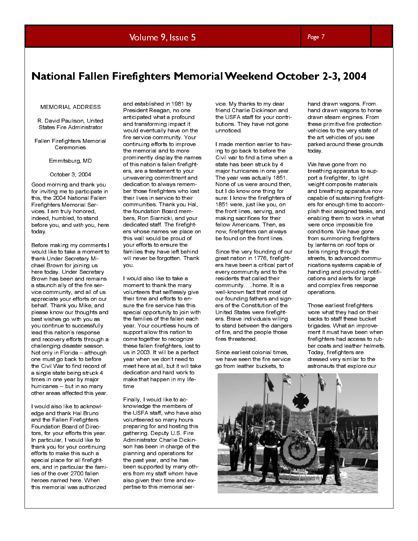### Volume 9, Issue 5 Page 7 Page 7

# National Fallen Firefighters Memorial Weekend October 2-3, 2004

### MEMORIAL ADDRESS

R. David Paulison, United States Fire Administrator

Fallen Firefighters Memorial Ceremonies

### Emmitsburg, MD

October 3, 2004

Good morning and thank you for inviting me to participate in this, the 2004 National Fallen Firefighters Memorial Services. I am truly honored, indeed, humbled, to stand before you, and with you, here today.

Before making my comments I would like to take a moment to thank Under Secretary Michael Brown for joining us here today. Under Secretary Brown has been and remains a staunch ally of the fire service community, and all of us appreciate your efforts on our behalf. Thank you Mike, and please know our thoughts and best wishes go with you as you continue to successfully lead this nation's response and recovery efforts through a challenging disaster season. Not only in Florida – although one must go back to before the Civil War to find record of a single state being struck 4 times in one year by major hurricanes -- but in so many other areas affected this year.

I would also like to acknowledge and thank Hal Bruno and the Fallen Firefighters Foundation Board of Directors, for your efforts this year. In particular, I would like to thank you for your continuing efforts to make this such a special place for all firefighters, and in particular the families of the over 2700 fallen heroes named here. When this memorial was authorized

and established in 1981 by President Reagan, no one anticipated what a profound and transforming impact it would eventually have on the fire service community. Your continuing efforts to improve the memorial and to more prominently display the names of this nation's fallen firefighters, are a testament to your unwavering commitment and dedication to always remember those firefighters who lost their lives in service to their communities. Thank you Hal, the foundation Board members, Ron Siarnicki, and your dedicated staff. The firefighters whose names we place on this wall would be proud of your efforts to ensure the families they have left behind will never be forgotten. Thank you.

I would also like to take a moment to thank the many volunteers that selflessly give their time and efforts to ensure the fire service has this special opportunity to join with the families of the fallen each year. Your countless hours of support allow this nation to come together to recognize these fallen firefighters, lost to us in 2003. It will be a perfect year when we don't need to meet here at all, but it will take dedication and hard work to make that happen in my lifetime

Finally, I would like to acknowledge the members of the USFA staff, who have also volunteered so many hours preparing for and hosting this gathering. Deputy U.S. Fire Administrator Charlie Dickinson has been in charge of the planning and operations for the past year, and he has been supported by many others from my staff whom have also given their time and expertise to this memorial service. My thanks to my dear friend Charlie Dickinson and the USFA staff for your contributions. They have not gone unnoticed.

I made mention earlier to having to go back to before the Civil war to find a time when a state has been struck by 4 major hurricanes in one year. The year was actually 1851. None of us were around then, but I do know one thing for sure: I know the firefighters of 1851 were, just like you, on the front lines, serving, and making sacrifices for their fellow Americans. Then, as now, firefighters can always be found on the front lines.

Since the very founding of our great nation in 1776, firefighters have been a critical part of every community and to the residents that called their community…..home. It is a well-known fact that most of our founding fathers and signers of the Constitution of the United States were firefighters. Brave individuals willing to stand between the dangers of fire, and the people those fires threatened.

Since earliest colonial times, we have seen the fire service go from leather buckets, to

hand drawn wagons. From hand drawn wagons to horse drawn steam engines. From these primitive fire protection vehicles to the very state of the art vehicles of you see parked around these grounds today.

We have gone from no breathing apparatus to support a firefighter, to light weight composite materials and breathing apparatus now capable of sustaining firefighters for enough time to accomplish their assigned tasks, and enabling them to work in what were once impossible fire conditions. We have gone from summoning firefighters by lanterns on roof tops or bells ringing through the streets, to advanced communications systems capable of handling and providing notifications and alerts for large and complex fires response operations.

Those earliest firefighters wore what they had on their backs to staff these bucket brigades. What an improvement it must have been when firefighters had access to rubber coats and leather helmets. Today, firefighters are dressed very similar to the astronauts that explore our

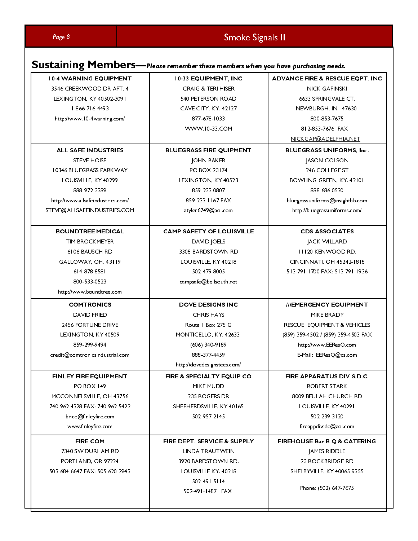| Page 8<br><b>10-4 WARNING EQUIPMENT</b><br>3546 CREEKWOOD DR APT. 4<br>LEXINGTON, KY 40502-3091<br>1-866-716-4493<br>http://www.10-4warning.com/             | Smoke Signals II<br>Sustaining Members-Please remember these members when you have purchasing needs.<br>10-33 EQUIPMENT, INC<br>CRAIG & TERI HISER<br>540 PETERSON ROAD<br>CAVE CITY, KY. 42127<br>877-678-1033 | <b>ADVANCE FIRE &amp; RESCUE EQPT. INC</b><br><b>NICK GAPINSKI</b><br>6633 SPRINGVALE CT.<br>NEWBURGH, IN. 47630<br>800-853-7675                                                             |
|--------------------------------------------------------------------------------------------------------------------------------------------------------------|-----------------------------------------------------------------------------------------------------------------------------------------------------------------------------------------------------------------|----------------------------------------------------------------------------------------------------------------------------------------------------------------------------------------------|
| <b>ALL SAFE INDUSTRIES</b><br><b>STEVE HOISE</b><br>10346 BLUEGRASS PARKWAY<br>LOUISVILLE, KY 40299<br>888-972-3389<br>http://www.allsafeindustries.com/     | WWW.10-33.COM<br><b>BLUEGRASS FIRE QUIPMENT</b><br><b>JOHN BAKER</b><br>PO BOX 23174<br>LEXINGTON, KY 40523<br>859-233-0807<br>859-233-1167 FAX                                                                 | 812-853-7676 FAX<br>NICKGAP@ADELPHIA.NET<br><b>BLUEGRASS UNIFORMS, Inc.</b><br>JASON COLSON<br>246 COLLEGE ST<br>BOWLING GREEN, KY. 42101<br>888-686-0520<br>bluegrassuniforms@insightbb.com |
| STEVE@ALLSAFEINDUSTRIES.COM<br><b>BOUNDTREE MEDICAL</b><br>TIM BROCKMEYER<br>6106 BAUSCH RD<br>GALLOWAY, OH. 43119<br>614-878-8581<br>800-533-0523           | atyler6749@aol.com<br><b>CAMP SAFETY OF LOUISVILLE</b><br>DAVID JOELS<br>3308 BARDSTOWN RD<br>LOUISVILLE, KY 40218<br>502-479-8005<br>$\verb campsaf  @bel  \verb south.net $                                   | http://bluegrassuniforms.com/<br><b>CDS ASSOCIATES</b><br><b>JACK WILLARD</b><br><b>III20 KENWOOD RD.</b><br>CINCINNATI, OH 45242-1818<br>5   3-79   -   700 FAX: 5   3-79   -   936         |
| http://www.boundtree.com<br><b>COMTRONICS</b><br>DAVID FRIED<br>2456 FORTUNE DRIVE<br>LEXINGTON, KY 40509<br>859-299-9494<br>credit@comtronicsindustrial.com | <b>DOVE DESIGNS INC</b><br><b>CHRIS HAYS</b><br>Route   Box 275 G<br>MONTICELLO, KY. 42633<br>(606) 340-9189<br>888-377-4459                                                                                    | ///EMERGENCY EQUIPMENT<br>MIKE BRADY<br>RESCUE EQUIPMENT & VEHICLES<br>(859) 359-4502 / (859) 359-4503 FAX<br>http://www.EEResQ.com<br>E-Mail: EEResQ@cs.com                                 |
| FINLEY FIRE EQUIPMENT<br>PO BOX 149<br>MCCONNELSVILLE, OH 43756<br>740-962-4328 FAX: 740-962-5422<br>brice@finleyfire.com<br>www.finleyfire.com              | http://dovedesignstees.com/<br>FIRE & SPECIALTY EQUIP CO<br>MIKE MUDD<br>235 ROGERS DR<br>SHEPHERDSVILLE, KY 40165<br>502-957-2145                                                                              | FIRE APPARATUS DIV S.D.C.<br>ROBERT STARK<br>8009 BEULAH CHURCH RD<br>LOUISVILLE, KY 40291<br>502-239-3120<br>fireappdivsdc@aol.com                                                          |
| <b>FIRE COM</b><br>7340 SW DURHAM RD<br>PORTLAND, OR 97224<br>503-684-6647 FAX: 505-620-2943                                                                 | FIRE DEPT. SERVICE & SUPPLY<br>LINDA TRAUTWEIN<br>3920 BARDSTOWN RD.<br>LOUISVILLE KY. 40218<br>$502 - 49$   -5  4<br>502-491-1487 FAX                                                                          | FIREHOUSE Bar B Q & CATERING<br>JAMES RIDDLE<br>23 ROCKBRIDGE RD<br>SHELBYVILLE, KY 40065-9355<br>Phone: (502) 647-7675                                                                      |
|                                                                                                                                                              |                                                                                                                                                                                                                 |                                                                                                                                                                                              |
|                                                                                                                                                              |                                                                                                                                                                                                                 |                                                                                                                                                                                              |
|                                                                                                                                                              |                                                                                                                                                                                                                 |                                                                                                                                                                                              |
|                                                                                                                                                              |                                                                                                                                                                                                                 |                                                                                                                                                                                              |
|                                                                                                                                                              |                                                                                                                                                                                                                 |                                                                                                                                                                                              |
|                                                                                                                                                              |                                                                                                                                                                                                                 |                                                                                                                                                                                              |
|                                                                                                                                                              |                                                                                                                                                                                                                 |                                                                                                                                                                                              |
|                                                                                                                                                              |                                                                                                                                                                                                                 |                                                                                                                                                                                              |
|                                                                                                                                                              |                                                                                                                                                                                                                 |                                                                                                                                                                                              |
|                                                                                                                                                              |                                                                                                                                                                                                                 |                                                                                                                                                                                              |
|                                                                                                                                                              |                                                                                                                                                                                                                 |                                                                                                                                                                                              |
|                                                                                                                                                              |                                                                                                                                                                                                                 |                                                                                                                                                                                              |
|                                                                                                                                                              |                                                                                                                                                                                                                 |                                                                                                                                                                                              |
|                                                                                                                                                              |                                                                                                                                                                                                                 |                                                                                                                                                                                              |
|                                                                                                                                                              |                                                                                                                                                                                                                 |                                                                                                                                                                                              |
|                                                                                                                                                              |                                                                                                                                                                                                                 |                                                                                                                                                                                              |
|                                                                                                                                                              |                                                                                                                                                                                                                 |                                                                                                                                                                                              |
|                                                                                                                                                              |                                                                                                                                                                                                                 |                                                                                                                                                                                              |
|                                                                                                                                                              |                                                                                                                                                                                                                 |                                                                                                                                                                                              |
|                                                                                                                                                              |                                                                                                                                                                                                                 |                                                                                                                                                                                              |
|                                                                                                                                                              |                                                                                                                                                                                                                 |                                                                                                                                                                                              |
|                                                                                                                                                              |                                                                                                                                                                                                                 |                                                                                                                                                                                              |
|                                                                                                                                                              |                                                                                                                                                                                                                 |                                                                                                                                                                                              |
|                                                                                                                                                              |                                                                                                                                                                                                                 |                                                                                                                                                                                              |
|                                                                                                                                                              |                                                                                                                                                                                                                 |                                                                                                                                                                                              |
|                                                                                                                                                              |                                                                                                                                                                                                                 |                                                                                                                                                                                              |
|                                                                                                                                                              |                                                                                                                                                                                                                 |                                                                                                                                                                                              |
|                                                                                                                                                              |                                                                                                                                                                                                                 |                                                                                                                                                                                              |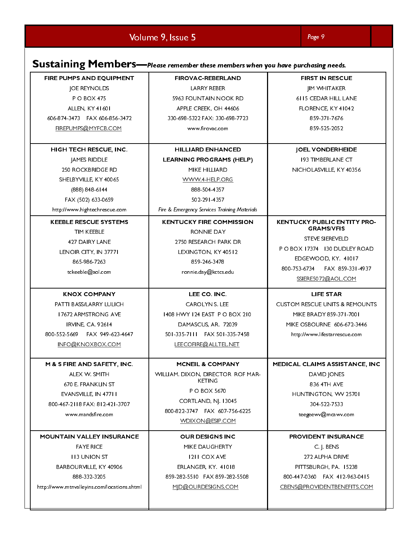|                                                                                                                                                                      | Sustaining Members-Please remember these members when you have purchasing needs.                                                                                              |                                                                                                                                               |
|----------------------------------------------------------------------------------------------------------------------------------------------------------------------|-------------------------------------------------------------------------------------------------------------------------------------------------------------------------------|-----------------------------------------------------------------------------------------------------------------------------------------------|
| FIRE PUMPS AND EQUIPMENT<br><b>JOE REYNOLDS</b><br><b>PO BOX 475</b><br>ALLEN, KY 41601<br>606-874-3473    FAX 606-856-3472<br>FIREPUMPS@MYFCB.COM                   | <b>FIROVAC-REBERLAND</b><br>LARRY REBER<br>5963 FOUNTAIN NOOK RD<br>APPLE CREEK, OH 44606<br>330-698-5322 FAX: 330-698-7723<br>www.firovac.com                                | <b>FIRST IN RESCUE</b><br><b>JIM WHITAKER</b><br>6115 CEDAR HILL LANE<br>FLORENCE, KY41042<br>859-371-7676<br>859-525-2052                    |
| HIGH TECH RESCUE, INC.<br>JAMES RIDDLE<br><b>250 ROCKBRIDGE RD</b><br>SHELBYVILLE, KY 40065<br>(888) 848-6144                                                        | <b>HILLIARD ENHANCED</b><br><b>LEARNING PROGRAMS (HELP)</b><br>MIKE HILLIARD<br>WWW.4-HELP.ORG<br>888-504-4357                                                                | <b>JOEL VONDERHEIDE</b><br><b>193 TIMBERLANE CT</b><br>NICHOLASVILLE, KY 40356                                                                |
| FAX (502) 633-0659<br>http://www.hightechrescue.com<br><b>KEEBLE RESCUE SYSTEMS</b><br>TIM KEEBLE<br>427 DAIRY LANE<br>LENOIR CITY, IN 37771<br>865-986-7263         | 502-291-4357<br>Fire & Emergency Services Training Materials<br><b>KENTUCKY FIRE COMMISSION</b><br>RONNIE DAY<br>2750 RESEARCH PARK DR<br>LEXINGTON, KY 40512<br>859-246-3478 | <b>KENTUCKY PUBLIC ENTITY PRO-</b><br><b>GRAMS/VFIS</b><br>STEVE SIEREVELD<br>PO BOX 17374 130 DUDLEY ROAD<br>EDGEWOOD, KY. 41017             |
| tckeeble@aol.com<br><b>KNOX COMPANY</b><br>PATTI BASS/LARRY LULICH<br>17672 ARMSTRONG AVE                                                                            | ronnie.day@kctcs.edu<br>LEE CO. INC.<br>CAROLYN S. LEE<br>1408 HWY 124 EAST PO BOX 210                                                                                        | 800-753-6734    FAX 859-331-4937<br>SSIERE5072@AOL.COM<br>LIFE STAR<br><b>CUSTOM RESCUE UNITS &amp; REMOUNTS</b><br>MIKE BRADY 859-371-7001   |
| IRVINE, CA. 92614<br>800-552-5669    FAX 949-623-4647<br>INFO@KNOXBOX.COM<br>M & S FIRE AND SAFETY, INC.<br>ALEX W. SMITH                                            | DAMASCUS, AR. 72039<br>501-335-7111 FAX 501-335-7458<br>LEECOFIRE@ALLTEL.NET<br>MCNEIL & COMPANY<br>WILLIAM. DIXON, DIRECTOR ROF MAR-                                         | MIKE OSBOURNE 606-672-3446<br>http://www.lifestarrescue.com<br>MEDICAL CLAIMS ASSISTANCE, INC<br>DAVID JONES                                  |
| 670 E. FRANKLIN ST<br>EVANSVILLE, IN 47711<br>800-467-2118 FAX: 812-421-3707<br>www.mandsfire.com                                                                    | <b>KETING</b><br>P O BOX 5670<br>CORTLAND, NJ. 13045<br>800-822-3747    FAX 607-756-6225<br>WDIXON@ESIP.COM                                                                   | 836 4TH AVE<br>HUNTINGTON, WV 25701<br>304-522-7533<br>teegeewv@mcawv.com                                                                     |
| <b>MOUNTAIN VALLEY INSURANCE</b><br><b>FAYE RICE</b><br><b>II3 UNION ST</b><br>BARBOURVILLE, KY 40906<br>888-332-3205<br>http://www.mtnvalleyins.com/locations.shtml | <b>OUR DESIGNS INC</b><br>MIKE DAUGHERTY<br><b>1211 COX AVE</b><br>ERLANGER, KY. 41018<br>859-282-5510 FAX 859-282-5508<br>MID@OURDESIGNS.COM                                 | PROVIDENT INSURANCE<br>C. J. BENS<br>272 ALPHA DRIVE<br>PITTSBURGH, PA. 15238<br>800-447-0360 FAX 412-963-0415<br>CBENS@PROVIDENTBENEFITS.COM |
|                                                                                                                                                                      |                                                                                                                                                                               |                                                                                                                                               |
|                                                                                                                                                                      |                                                                                                                                                                               |                                                                                                                                               |
|                                                                                                                                                                      |                                                                                                                                                                               |                                                                                                                                               |
|                                                                                                                                                                      |                                                                                                                                                                               |                                                                                                                                               |
|                                                                                                                                                                      |                                                                                                                                                                               |                                                                                                                                               |
|                                                                                                                                                                      |                                                                                                                                                                               |                                                                                                                                               |
|                                                                                                                                                                      |                                                                                                                                                                               |                                                                                                                                               |
|                                                                                                                                                                      |                                                                                                                                                                               |                                                                                                                                               |
|                                                                                                                                                                      |                                                                                                                                                                               |                                                                                                                                               |
|                                                                                                                                                                      |                                                                                                                                                                               |                                                                                                                                               |
|                                                                                                                                                                      |                                                                                                                                                                               |                                                                                                                                               |
|                                                                                                                                                                      |                                                                                                                                                                               |                                                                                                                                               |
|                                                                                                                                                                      |                                                                                                                                                                               |                                                                                                                                               |
|                                                                                                                                                                      |                                                                                                                                                                               |                                                                                                                                               |
|                                                                                                                                                                      |                                                                                                                                                                               |                                                                                                                                               |
|                                                                                                                                                                      |                                                                                                                                                                               |                                                                                                                                               |
|                                                                                                                                                                      |                                                                                                                                                                               |                                                                                                                                               |
|                                                                                                                                                                      |                                                                                                                                                                               |                                                                                                                                               |
|                                                                                                                                                                      |                                                                                                                                                                               |                                                                                                                                               |
|                                                                                                                                                                      |                                                                                                                                                                               |                                                                                                                                               |
|                                                                                                                                                                      |                                                                                                                                                                               |                                                                                                                                               |
|                                                                                                                                                                      |                                                                                                                                                                               |                                                                                                                                               |
|                                                                                                                                                                      |                                                                                                                                                                               |                                                                                                                                               |
|                                                                                                                                                                      |                                                                                                                                                                               |                                                                                                                                               |
|                                                                                                                                                                      |                                                                                                                                                                               |                                                                                                                                               |
|                                                                                                                                                                      |                                                                                                                                                                               |                                                                                                                                               |
|                                                                                                                                                                      |                                                                                                                                                                               |                                                                                                                                               |
|                                                                                                                                                                      |                                                                                                                                                                               |                                                                                                                                               |
|                                                                                                                                                                      |                                                                                                                                                                               |                                                                                                                                               |
|                                                                                                                                                                      |                                                                                                                                                                               |                                                                                                                                               |
|                                                                                                                                                                      |                                                                                                                                                                               |                                                                                                                                               |
|                                                                                                                                                                      |                                                                                                                                                                               |                                                                                                                                               |
|                                                                                                                                                                      |                                                                                                                                                                               |                                                                                                                                               |
|                                                                                                                                                                      |                                                                                                                                                                               |                                                                                                                                               |
|                                                                                                                                                                      |                                                                                                                                                                               |                                                                                                                                               |

Volume 9, Issue 5 Page 9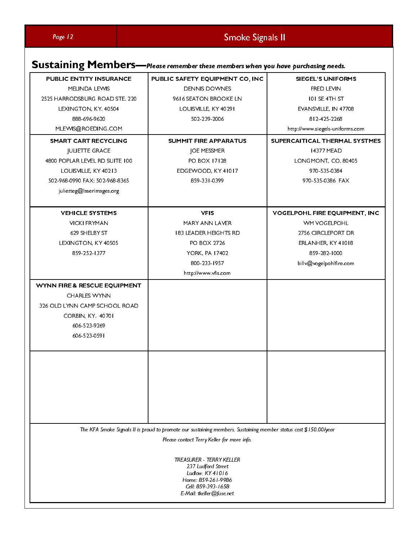|                                                                                          | Sustaining Members-Please remember these members when you have purchasing needs.                                                                               |                                                                                |
|------------------------------------------------------------------------------------------|----------------------------------------------------------------------------------------------------------------------------------------------------------------|--------------------------------------------------------------------------------|
| PUBLIC ENTITY INSURANCE<br>MELINDA LEWIS<br>2525 HARRODSBURG ROAD STE. 220               | PUBLIC SAFETY EQUIPMENT CO, INC<br><b>DENNIS DOWNES</b><br>9616 SEATON BROOKE LN                                                                               | SIEGEL'S UNIFORMS<br>FRED LEVIN<br><b>IOI SE 4TH ST</b>                        |
| LEXINGTON, KY. 40504<br>888-696-9620                                                     | LOUISVILLE, KY 40291<br>502-239-2006                                                                                                                           | EVANSVILLE, IN 47708<br>812-425-2268                                           |
| MLEWIS@ROEDING.COM<br>SMART CART RECYCLING<br><b>JULIETTE GRACE</b>                      | SUMMIT FIRE APPARATUS<br>JOE MESSMER                                                                                                                           | http://www.siegels-uniforms.com<br>SUPERCAITICAL THERMAL SYSTMES<br>14377 MEAD |
| 4800 POPLAR LEVEL RD SUITE 100<br>LOUISVILLE, KY 40213<br>502-968-0990 FAX: 502-968-8365 | PO BOX 17128<br>EDGEWOOD, KY 41017<br>859-331-0399                                                                                                             | LONGMONT, CO. 80405<br>970-535-0384<br>970-535-0386 FAX                        |
| julietteg@laserimages.org<br><b>VEHICLE SYSTEMS</b>                                      | <b>VFIS</b>                                                                                                                                                    | VOGELPOHL FIRE EQUIPMENT, INC                                                  |
| <b>VICKI FRYMAN</b><br>629 SHELBY ST<br>LEXINGTON, KY 40505                              | MARY ANN LAVER<br><b>183 LEADER HEIGHTS RD</b><br>PO BOX 2726                                                                                                  | WM VOGELPOHL<br>2756 CIRCLEPORT DR<br>ERLANHER, KY 41018                       |
| 859-252-1377                                                                             | YORK, PA 17402<br>800-233-1957<br>http://www.vfis.com                                                                                                          | 859-282-1000<br>billv@vogelpohlfire.com                                        |
| WYNN FIRE & RESCUE EQUIPMENT<br><b>CHARLES WYNN</b><br>326 OLD LYNN CAMP SCHOOL ROAD     |                                                                                                                                                                |                                                                                |
| CORBIN, KY. 40701<br>606-523-9269<br>606-523-0591                                        |                                                                                                                                                                |                                                                                |
|                                                                                          |                                                                                                                                                                |                                                                                |
|                                                                                          |                                                                                                                                                                |                                                                                |
|                                                                                          |                                                                                                                                                                |                                                                                |
|                                                                                          | The KFA Smoke Signals II is proud to promote our sustaining members. Sustaining member status cost \$150.00/year<br>Please contact Terry Keller for more info. |                                                                                |
|                                                                                          | TREASURER - TERRY KELLER<br>237 Ludford Street<br>Ludlow, KY 41016<br>Home: 859-261-9986<br>Cell: 859-393-1658                                                 |                                                                                |
|                                                                                          | E-Mail: tkeller@fuse.net                                                                                                                                       |                                                                                |
|                                                                                          |                                                                                                                                                                |                                                                                |
|                                                                                          |                                                                                                                                                                |                                                                                |
|                                                                                          |                                                                                                                                                                |                                                                                |
|                                                                                          |                                                                                                                                                                |                                                                                |
|                                                                                          |                                                                                                                                                                |                                                                                |
|                                                                                          |                                                                                                                                                                |                                                                                |
|                                                                                          |                                                                                                                                                                |                                                                                |
|                                                                                          |                                                                                                                                                                |                                                                                |
|                                                                                          |                                                                                                                                                                |                                                                                |
|                                                                                          |                                                                                                                                                                |                                                                                |
|                                                                                          |                                                                                                                                                                |                                                                                |
|                                                                                          |                                                                                                                                                                |                                                                                |
|                                                                                          |                                                                                                                                                                |                                                                                |
|                                                                                          |                                                                                                                                                                |                                                                                |
|                                                                                          |                                                                                                                                                                |                                                                                |
|                                                                                          |                                                                                                                                                                |                                                                                |
|                                                                                          |                                                                                                                                                                |                                                                                |
|                                                                                          |                                                                                                                                                                |                                                                                |
|                                                                                          |                                                                                                                                                                |                                                                                |
|                                                                                          |                                                                                                                                                                |                                                                                |
|                                                                                          |                                                                                                                                                                |                                                                                |
|                                                                                          |                                                                                                                                                                |                                                                                |
|                                                                                          |                                                                                                                                                                |                                                                                |
|                                                                                          |                                                                                                                                                                |                                                                                |
|                                                                                          |                                                                                                                                                                |                                                                                |
|                                                                                          |                                                                                                                                                                |                                                                                |
|                                                                                          |                                                                                                                                                                |                                                                                |
|                                                                                          |                                                                                                                                                                |                                                                                |
|                                                                                          |                                                                                                                                                                |                                                                                |
|                                                                                          |                                                                                                                                                                |                                                                                |
|                                                                                          |                                                                                                                                                                |                                                                                |
|                                                                                          |                                                                                                                                                                |                                                                                |
|                                                                                          |                                                                                                                                                                |                                                                                |
|                                                                                          |                                                                                                                                                                |                                                                                |
|                                                                                          |                                                                                                                                                                |                                                                                |
|                                                                                          |                                                                                                                                                                |                                                                                |
|                                                                                          |                                                                                                                                                                |                                                                                |
|                                                                                          |                                                                                                                                                                |                                                                                |
|                                                                                          |                                                                                                                                                                |                                                                                |
|                                                                                          |                                                                                                                                                                |                                                                                |
|                                                                                          |                                                                                                                                                                |                                                                                |
|                                                                                          |                                                                                                                                                                |                                                                                |
|                                                                                          |                                                                                                                                                                |                                                                                |
|                                                                                          |                                                                                                                                                                |                                                                                |
|                                                                                          |                                                                                                                                                                |                                                                                |
|                                                                                          |                                                                                                                                                                |                                                                                |
|                                                                                          |                                                                                                                                                                |                                                                                |
|                                                                                          |                                                                                                                                                                |                                                                                |
|                                                                                          |                                                                                                                                                                |                                                                                |
|                                                                                          |                                                                                                                                                                |                                                                                |
|                                                                                          |                                                                                                                                                                |                                                                                |
|                                                                                          |                                                                                                                                                                |                                                                                |
|                                                                                          |                                                                                                                                                                |                                                                                |
|                                                                                          |                                                                                                                                                                |                                                                                |
|                                                                                          |                                                                                                                                                                |                                                                                |
|                                                                                          |                                                                                                                                                                |                                                                                |
|                                                                                          |                                                                                                                                                                |                                                                                |
|                                                                                          |                                                                                                                                                                |                                                                                |
|                                                                                          |                                                                                                                                                                |                                                                                |
|                                                                                          |                                                                                                                                                                |                                                                                |
|                                                                                          |                                                                                                                                                                |                                                                                |
|                                                                                          |                                                                                                                                                                |                                                                                |
|                                                                                          |                                                                                                                                                                |                                                                                |
|                                                                                          |                                                                                                                                                                |                                                                                |
|                                                                                          |                                                                                                                                                                |                                                                                |
|                                                                                          |                                                                                                                                                                |                                                                                |
|                                                                                          |                                                                                                                                                                |                                                                                |
|                                                                                          |                                                                                                                                                                |                                                                                |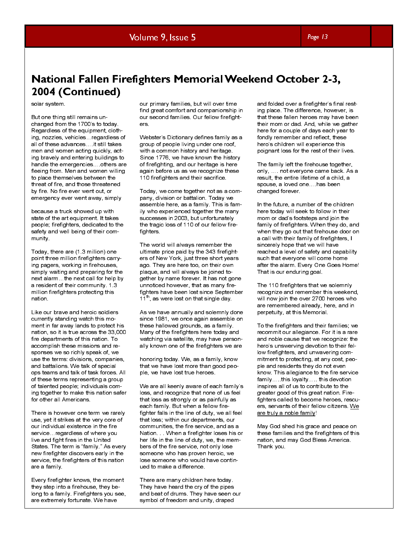# **National Fallen Firefighters Memorial Weekend October 2-3,** 2004 (Continued)

### solar system.

But one thing still remains unchanged from the 1700's to today. Regardless of the equipment, clothing, nozzles, vehicles…regardless of all of these advances….it still takes men and women acting quickly, acting bravely and entering buildings to handle the emergencies….others are fleeing from. Men and women willing to place themselves between the threat of fire, and those threatened by fire. No fire ever went out, or emergency ever went away, simply

because a truck showed up with state of the art equipment. It takes people; firefighters, dedicated to the safety and well being of their community.

Today, there are (1.3 million) one point three million firefighters carrying pagers, working in firehouses, simply waiting and preparing for the next alarm…the next call for help by a resident of their community. 1.3 million firefighters protecting this nation.

solar system.<br>
But one thing still remains unchanged from the 1700 s to today.<br>
Radar system.<br>
But one thing still remains unchanged from the 1700 s to today.<br>
Regardless of the equipment, cloth-<br>
Ragardless of the equipme Like our brave and heroic soldiers currently standing watch this moment in far away lands to protect his nation, so it is true across the 33,000 fire departments of this nation. To accomplish these missions and responses we so richly speak of, we use the terms: divisions, companies, and battalions. We talk of special ops teams and talk of task forces. All of these terms representing a group of talented people; individuals coming together to make this nation safer for other all Americans.

There is however one term we rarely use, yet it strikes at the very core of our individual existence in the fire service…regardless of where you live and fight fires in the United States. The term is "family." As every new firefighter discovers early in the service, the firefighters of this nation are a family.

Every firefighter knows, the moment they step into a firehouse, they belong to a family. Firefighters you see, are extremely fortunate. We have

our primary families, but will over time find great comfort and companionship in our second families. Our fellow firefighters.

Webster's Dictionary defines family as a group of people living under one roof, with a common history and heritage. Since 1776, we have known the history of firefighting, and our heritage is here again before us as we recognize these 110 firefighters and their sacrifice.

Today, we come together not as a company, division or battalion. Today we assemble here, as a family. This is family who experienced together the many successes in 2003, but unfortunately the tragic loss of 110 of our fellow firefighters.

The world will always remember the ultimate price paid by the 343 firefighters of New York, just three short years ago. They are here too, on their own plaque, and will always be joined together by name forever. It has not gone unnoticed however, that as many firefighters have been lost since September  $11<sup>th</sup>$ , as were lost on that single day.

As we have annually and solemnly done since 1981, we once again assemble on these hallowed grounds, as a family. Many of the firefighters here today and watching via satellite, may have personally known one of the firefighters we are

honoring today. We, as a family, know that we have lost more than good people, we have lost true heroes.

**2004 (Continued)**<br>
any may be the main of the significant of the significant of the significant of the significant of the significant of the significant of the significant of the significant of the significant of the sig We are all keenly aware of each family's loss, and recognize that none of us feel that loss as strongly or as painfully as each family. But when a fellow firefighter falls in the line of duty, we all feel that loss; within our departments, our communities, the fire service, and as a Nation. When a firefighter loses his or her life in the line of duty, we, the members of the fire service, not only lose someone who has proven heroic, we lose someone who would have continued to make a difference.

There are many children here today. They have heard the cry of the pipes and beat of drums. They have seen our symbol of freedom and unity, draped

and folded over a firefighter's final resting place. The difference, however, is that these fallen heroes may have been their mom or dad. And, while we gather here for a couple of days each year to fondly remember and reflect, these hero's children will experience this poignant loss for the rest of their lives.

The family left the firehouse together, only, …. not everyone came back. As a result, the entire lifetime of a child, a spouse, a loved one….has been changed forever.

In the future, a number of the children here today will seek to follow in their mom or dad's footsteps and join the family of firefighters. When they do, and when they go out that firehouse door on a call with their family of firefighters, I sincerely hope that we will have reached a level of safety and capability such that everyone will come home after the alarm. Every One Goes Home! That is our enduring goal.

The 110 firefighters that we solemnly recognize and remember this weekend, will now join the over 2700 heroes who are remembered already, here, and in perpetuity, at this Memorial.

To the firefighters and their families; we recommit our allegiance. For it is a rare and noble cause that we recognize: the hero's unswerving devotion to their fellow firefighters, and unwavering commitment to protecting, at any cost, people and residents they do not even know. This allegiance to the fire service family…..this loyalty….. this devotion inspires all of us to contribute to the greater good of this great nation. Firefighters called to become heroes, rescuers, servants of their fellow citizens. We are truly a noble family!

May God shed his grace and peace on these families and the firefighters of this nation, and may God Bless America. Thank you.